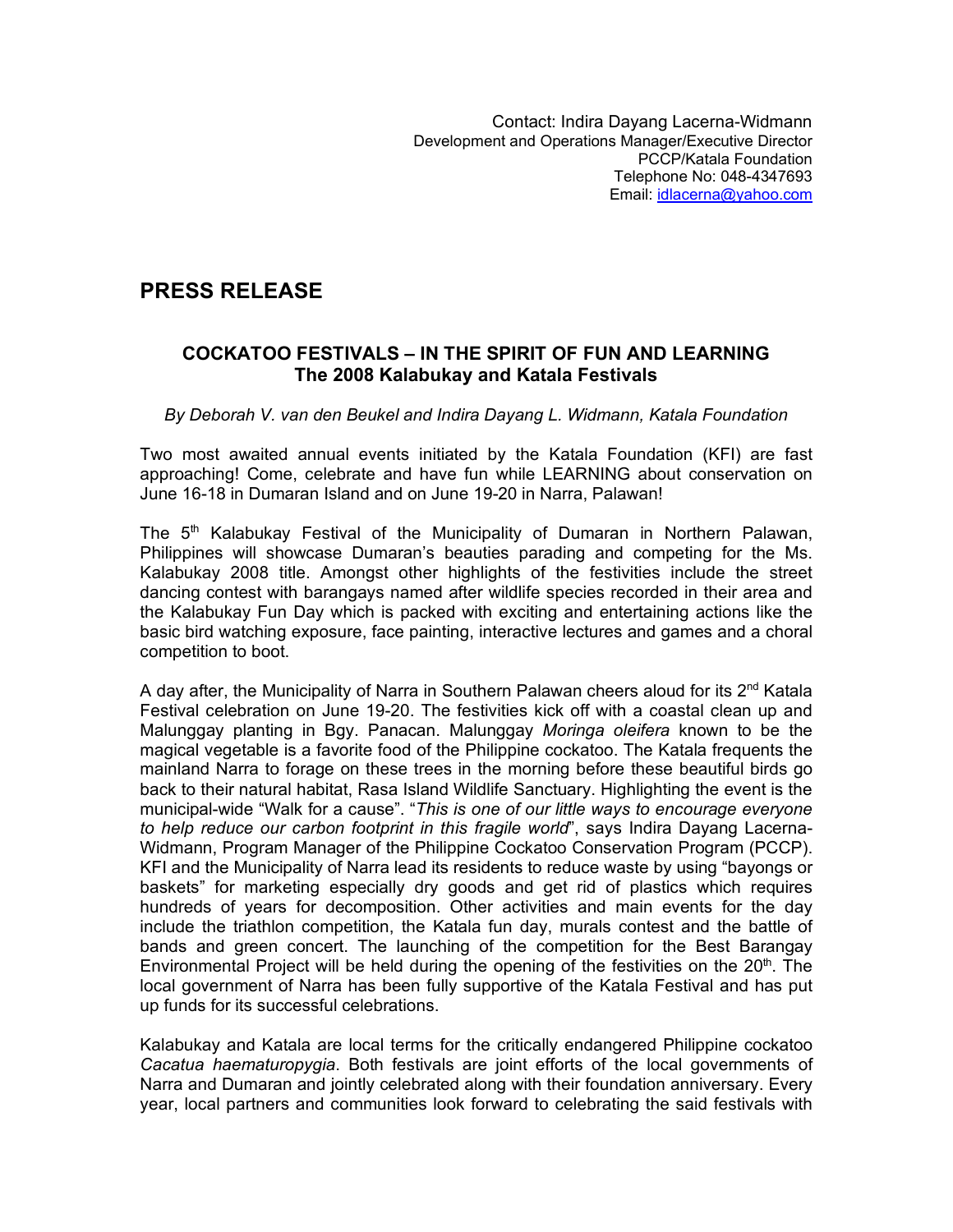## **PRESS RELEASE**

## **COCKATOO FESTIVALS – IN THE SPIRIT OF FUN AND LEARNING The 2008 Kalabukay and Katala Festivals**

## *By Deborah V. van den Beukel and Indira Dayang L. Widmann, Katala Foundation*

Two most awaited annual events initiated by the Katala Foundation (KFI) are fast approaching! Come, celebrate and have fun while LEARNING about conservation on June 16-18 in Dumaran Island and on June 19-20 in Narra, Palawan!

The  $5<sup>th</sup>$  Kalabukay Festival of the Municipality of Dumaran in Northern Palawan, Philippines will showcase Dumaran's beauties parading and competing for the Ms. Kalabukay 2008 title. Amongst other highlights of the festivities include the street dancing contest with barangays named after wildlife species recorded in their area and the Kalabukay Fun Day which is packed with exciting and entertaining actions like the basic bird watching exposure, face painting, interactive lectures and games and a choral competition to boot.

A day after, the Municipality of Narra in Southern Palawan cheers aloud for its 2<sup>nd</sup> Katala Festival celebration on June 19-20. The festivities kick off with a coastal clean up and Malunggay planting in Bgy. Panacan. Malunggay *Moringa oleifera* known to be the magical vegetable is a favorite food of the Philippine cockatoo. The Katala frequents the mainland Narra to forage on these trees in the morning before these beautiful birds go back to their natural habitat, Rasa Island Wildlife Sanctuary. Highlighting the event is the municipal-wide "Walk for a cause". "*This is one of our little ways to encourage everyone to help reduce our carbon footprint in this fragile world*", says Indira Dayang Lacerna-Widmann, Program Manager of the Philippine Cockatoo Conservation Program (PCCP). KFI and the Municipality of Narra lead its residents to reduce waste by using "bayongs or baskets" for marketing especially dry goods and get rid of plastics which requires hundreds of years for decomposition. Other activities and main events for the day include the triathlon competition, the Katala fun day, murals contest and the battle of bands and green concert. The launching of the competition for the Best Barangay Environmental Project will be held during the opening of the festivities on the  $20<sup>th</sup>$ . The local government of Narra has been fully supportive of the Katala Festival and has put up funds for its successful celebrations.

Kalabukay and Katala are local terms for the critically endangered Philippine cockatoo *Cacatua haematuropygia*. Both festivals are joint efforts of the local governments of Narra and Dumaran and jointly celebrated along with their foundation anniversary. Every year, local partners and communities look forward to celebrating the said festivals with